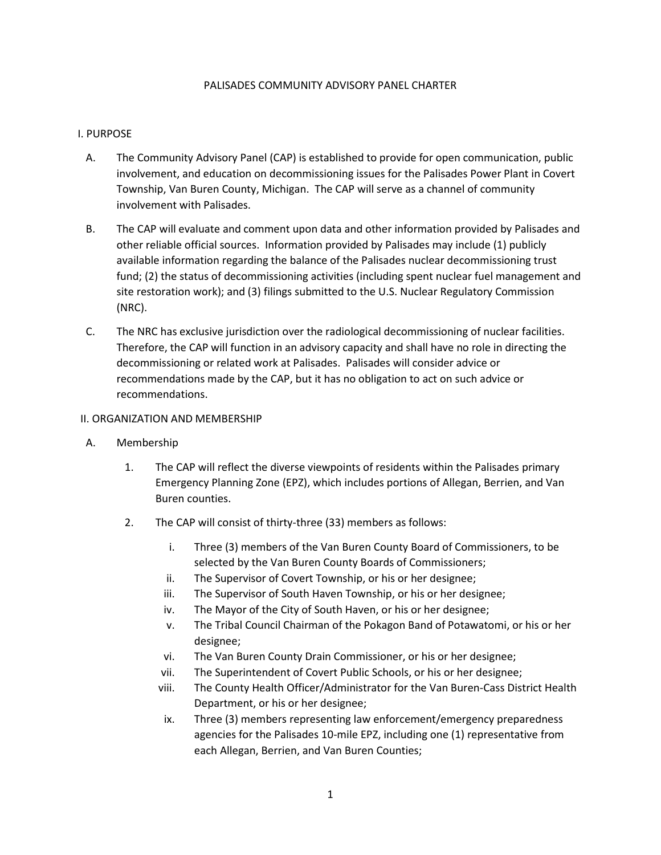## PALISADES COMMUNITY ADVISORY PANEL CHARTER

# I. PURPOSE

- A. The Community Advisory Panel (CAP) is established to provide for open communication, public involvement, and education on decommissioning issues for the Palisades Power Plant in Covert Township, Van Buren County, Michigan. The CAP will serve as a channel of community involvement with Palisades.
- B. The CAP will evaluate and comment upon data and other information provided by Palisades and other reliable official sources. Information provided by Palisades may include (1) publicly available information regarding the balance of the Palisades nuclear decommissioning trust fund; (2) the status of decommissioning activities (including spent nuclear fuel management and site restoration work); and (3) filings submitted to the U.S. Nuclear Regulatory Commission (NRC).
- C. The NRC has exclusive jurisdiction over the radiological decommissioning of nuclear facilities. Therefore, the CAP will function in an advisory capacity and shall have no role in directing the decommissioning or related work at Palisades. Palisades will consider advice or recommendations made by the CAP, but it has no obligation to act on such advice or recommendations.

## II. ORGANIZATION AND MEMBERSHIP

- A. Membership
	- 1. The CAP will reflect the diverse viewpoints of residents within the Palisades primary Emergency Planning Zone (EPZ), which includes portions of Allegan, Berrien, and Van Buren counties.
	- 2. The CAP will consist of thirty-three (33) members as follows:
		- i. Three (3) members of the Van Buren County Board of Commissioners, to be selected by the Van Buren County Boards of Commissioners;
		- ii. The Supervisor of Covert Township, or his or her designee;
		- iii. The Supervisor of South Haven Township, or his or her designee;
		- iv. The Mayor of the City of South Haven, or his or her designee;
		- v. The Tribal Council Chairman of the Pokagon Band of Potawatomi, or his or her designee;
		- vi. The Van Buren County Drain Commissioner, or his or her designee;
		- vii. The Superintendent of Covert Public Schools, or his or her designee;
		- viii. The County Health Officer/Administrator for the Van Buren-Cass District Health Department, or his or her designee;
		- ix. Three (3) members representing law enforcement/emergency preparedness agencies for the Palisades 10-mile EPZ, including one (1) representative from each Allegan, Berrien, and Van Buren Counties;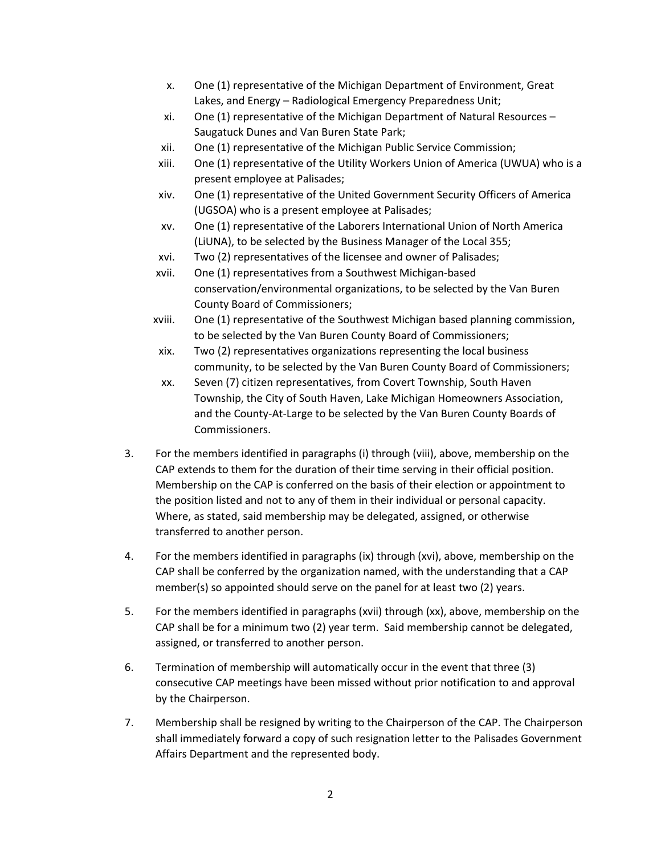- x. One (1) representative of the Michigan Department of Environment, Great Lakes, and Energy – Radiological Emergency Preparedness Unit;
- xi. One (1) representative of the Michigan Department of Natural Resources Saugatuck Dunes and Van Buren State Park;
- xii. One (1) representative of the Michigan Public Service Commission;
- xiii. One (1) representative of the Utility Workers Union of America (UWUA) who is a present employee at Palisades;
- xiv. One (1) representative of the United Government Security Officers of America (UGSOA) who is a present employee at Palisades;
- xv. One (1) representative of the Laborers International Union of North America (LiUNA), to be selected by the Business Manager of the Local 355;
- xvi. Two (2) representatives of the licensee and owner of Palisades;
- xvii. One (1) representatives from a Southwest Michigan-based conservation/environmental organizations, to be selected by the Van Buren County Board of Commissioners;
- xviii. One (1) representative of the Southwest Michigan based planning commission, to be selected by the Van Buren County Board of Commissioners;
- xix. Two (2) representatives organizations representing the local business community, to be selected by the Van Buren County Board of Commissioners;
- xx. Seven (7) citizen representatives, from Covert Township, South Haven Township, the City of South Haven, Lake Michigan Homeowners Association, and the County-At-Large to be selected by the Van Buren County Boards of Commissioners.
- 3. For the members identified in paragraphs (i) through (viii), above, membership on the CAP extends to them for the duration of their time serving in their official position. Membership on the CAP is conferred on the basis of their election or appointment to the position listed and not to any of them in their individual or personal capacity. Where, as stated, said membership may be delegated, assigned, or otherwise transferred to another person.
- 4. For the members identified in paragraphs (ix) through (xvi), above, membership on the CAP shall be conferred by the organization named, with the understanding that a CAP member(s) so appointed should serve on the panel for at least two (2) years.
- 5. For the members identified in paragraphs (xvii) through (xx), above, membership on the CAP shall be for a minimum two (2) year term. Said membership cannot be delegated, assigned, or transferred to another person.
- 6. Termination of membership will automatically occur in the event that three (3) consecutive CAP meetings have been missed without prior notification to and approval by the Chairperson.
- 7. Membership shall be resigned by writing to the Chairperson of the CAP. The Chairperson shall immediately forward a copy of such resignation letter to the Palisades Government Affairs Department and the represented body.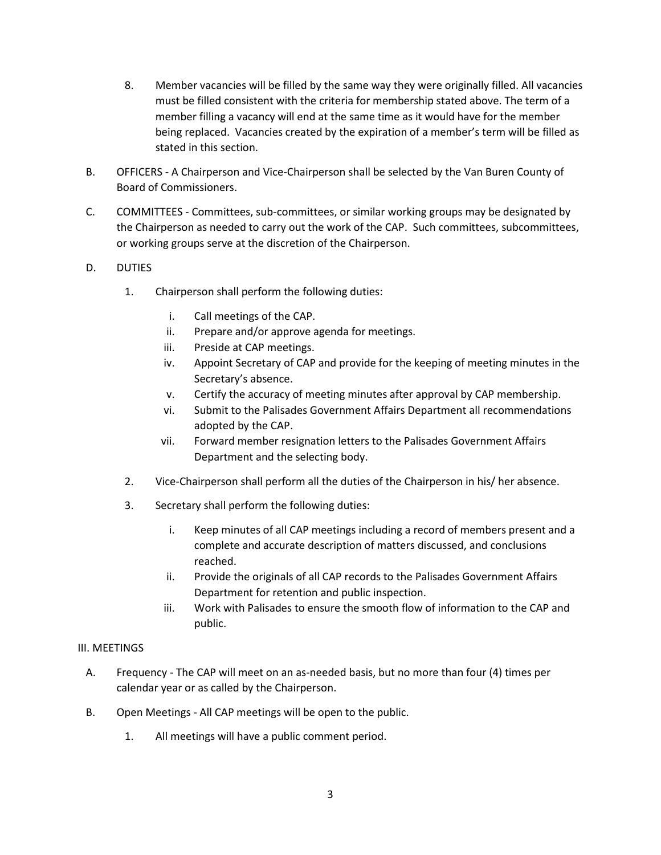- 8. Member vacancies will be filled by the same way they were originally filled. All vacancies must be filled consistent with the criteria for membership stated above. The term of a member filling a vacancy will end at the same time as it would have for the member being replaced. Vacancies created by the expiration of a member's term will be filled as stated in this section.
- B. OFFICERS A Chairperson and Vice-Chairperson shall be selected by the Van Buren County of Board of Commissioners.
- C. COMMITTEES Committees, sub-committees, or similar working groups may be designated by the Chairperson as needed to carry out the work of the CAP. Such committees, subcommittees, or working groups serve at the discretion of the Chairperson.
- D. DUTIES
	- 1. Chairperson shall perform the following duties:
		- i. Call meetings of the CAP.
		- ii. Prepare and/or approve agenda for meetings.
		- iii. Preside at CAP meetings.
		- iv. Appoint Secretary of CAP and provide for the keeping of meeting minutes in the Secretary's absence.
		- v. Certify the accuracy of meeting minutes after approval by CAP membership.
		- vi. Submit to the Palisades Government Affairs Department all recommendations adopted by the CAP.
		- vii. Forward member resignation letters to the Palisades Government Affairs Department and the selecting body.
	- 2. Vice-Chairperson shall perform all the duties of the Chairperson in his/ her absence.
	- 3. Secretary shall perform the following duties:
		- i. Keep minutes of all CAP meetings including a record of members present and a complete and accurate description of matters discussed, and conclusions reached.
		- ii. Provide the originals of all CAP records to the Palisades Government Affairs Department for retention and public inspection.
		- iii. Work with Palisades to ensure the smooth flow of information to the CAP and public.

# III. MEETINGS

- A. Frequency The CAP will meet on an as-needed basis, but no more than four (4) times per calendar year or as called by the Chairperson.
- B. Open Meetings All CAP meetings will be open to the public.
	- 1. All meetings will have a public comment period.